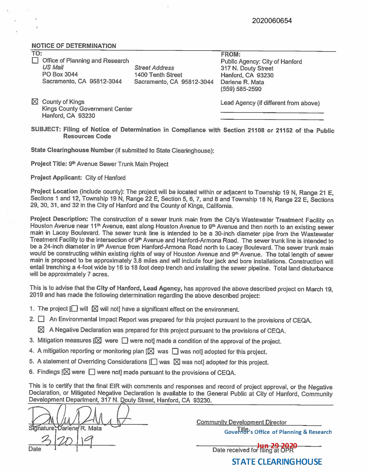## **NOTICE** OF **DETERMINATION**

| TO: |                                 |                           | <b>FROM:</b>         |
|-----|---------------------------------|---------------------------|----------------------|
|     | Office of Planning and Research |                           | <b>Public Agency</b> |
|     | <b>US Mail</b>                  | <b>Street Address</b>     | 317 N. Douty 9       |
|     | PO Box 3044                     | 1400 Tenth Street         | Hanford, CA 9        |
|     | Sacramento, CA 95812-3044       | Sacramento, CA 95812-3044 | Darlene R. Ma        |
|     |                                 |                           | (559) 585-259        |

 $\boxtimes$  County of Kings Kings County Government Center Hanford, CA 93230

: City of Hanford **Street** 83230 Darlene R. Mata (559} 585-2590

Lead Agency (if different from above}

**SUBJECT:** Filing **of Notice of Determination** in **Compliance with Section 21108 or 21152 of the Public Resources Code** 

**State Clearinghouse Number** (if submitted to State Clearinghouse):

Project Title: 9<sup>th</sup> Avenue Sewer Trunk Main Project

**Project Applicant:** City of Hanford

**Project Location** (include county): The project will be located within or adjacent to Township 19 N, Range 21 E, Sections 1 and 12, Township 19 N, Range 22 E, Section 5, 6, 7, and 8 and Township 18 N, Range 22 E, Sections 29, 30, 31, and 32 in the City of Hanford and the County of Kings, California.

**Project Description:** The construction of a sewer trunk main from the City's Wastewater Treatment Facility on Houston Avenue near 11<sup>th</sup> Avenue, east along Houston Avenue to 9<sup>th</sup> Avenue and then north to an existing sewer main in Lacey Boulevard. The sewer trunk line is intended to be a 30-inch diameter pipe from the Wastewater Treatment Facility to the intersection of 9<sup>th</sup> Avenue and Hanford-Armona Road. The sewer trunk line is intended to be a 24-inch diameter in 9<sup>th</sup> Avenue from Hanford-Armona Road north to Lacey Boulevard. The sewer trunk main would be constructing within existing rights of way of Houston Avenue and 9<sup>th</sup> Avenue. The total length of sewer main is proposed to be approximately 3.8 miles and will include four jack and bore installations. Construction will entail trenching a 4-foot wide by 16 to 18 foot deep trench and installing the sewer pipeline. Total land disturbance will be approximately 7 acres.

This ls to advise that the **City of** Hanford, **Lead Agency,** has approved the above described project on March 19, 2019 and has made the following determination regarding the above described project:

- 1. The project  $\Box$  will  $\boxtimes$  will not] have a significant effect on the environment.
- 2.  $\Box$  An Environmental Impact Report was prepared for this project pursuant to the provisions of CEQA.
	- $\boxtimes$  A Negative Declaration was prepared for this project pursuant to the provisions of CEQA.
- 3. Mitigation measures  $[ $\boxtimes$  were  $\square$  were not] made a condition of the approval of the project.$
- 4. A mitigation reporting or monitoring plan  $[ $\boxtimes$  was  $\square$  was not] adopted for this project.$
- 5. A statement of Overriding Considerations  $[\Box]$  was  $\boxtimes$  was not] adopted for this project.
- 6. Findings  $[ $\boxtimes$  were  $\square$  were not] made pursuit to the provisions of CEQA.$

This is to certify that the final EIR with comments and responses and record of project approval, or the Negative Declaration, or Mitigated Negative Declaration is available to the General Public at City of Hanford, Community Development Department, 317 N. Douty Street, Hanford, CA 93230.

nature Darlene R. Mata

Community Development Director

Governor's Office of Planning & Research

Date received for filing at OPR

**STATE CLEARINGHOUSE**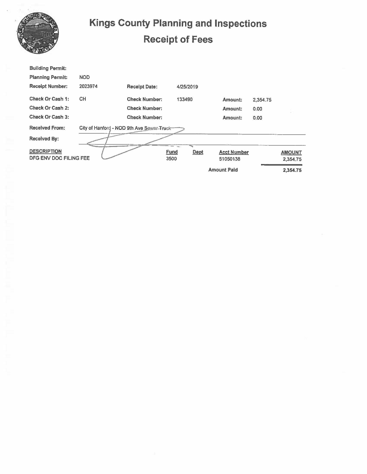|                                                                     | <b>Kings County Planning and Inspections</b><br><b>Receipt of Fees</b> |                      |             |             |                    |          |               |  |  |
|---------------------------------------------------------------------|------------------------------------------------------------------------|----------------------|-------------|-------------|--------------------|----------|---------------|--|--|
| <b>Building Permit:</b>                                             |                                                                        |                      |             |             |                    |          |               |  |  |
| <b>Planning Permit:</b>                                             | <b>NOD</b>                                                             |                      |             |             |                    |          |               |  |  |
| <b>Receipt Number:</b>                                              | 2023974                                                                | <b>Receipt Date:</b> |             | 4/25/2019   |                    |          |               |  |  |
| <b>Check Or Cash 1:</b>                                             | <b>CH</b>                                                              | <b>Check Number:</b> |             | 133490      | Amount:            | 2,354.75 |               |  |  |
| Check Or Cash 2:                                                    |                                                                        | <b>Check Number:</b> |             |             | Amount:            | 0.00     |               |  |  |
| Check Or Cash 3:                                                    |                                                                        | <b>Check Number:</b> |             |             | Amount:            | 0.00     |               |  |  |
| <b>Received From:</b><br>City of Hanford - NOD 9th Ave Sewer-Truck- |                                                                        |                      |             |             |                    |          |               |  |  |
| <b>Received By:</b>                                                 |                                                                        |                      |             |             |                    |          |               |  |  |
| <b>DESCRIPTION</b>                                                  |                                                                        |                      | <b>Fund</b> | <b>Dept</b> | <b>Acct Number</b> |          | <b>AMOUNT</b> |  |  |
| DFG ENV DOC FILING FEE                                              |                                                                        |                      | 3500        |             | 51050138           |          | 2,354.75      |  |  |
|                                                                     |                                                                        |                      |             |             | <b>Amount Paid</b> |          | 2,354.75      |  |  |